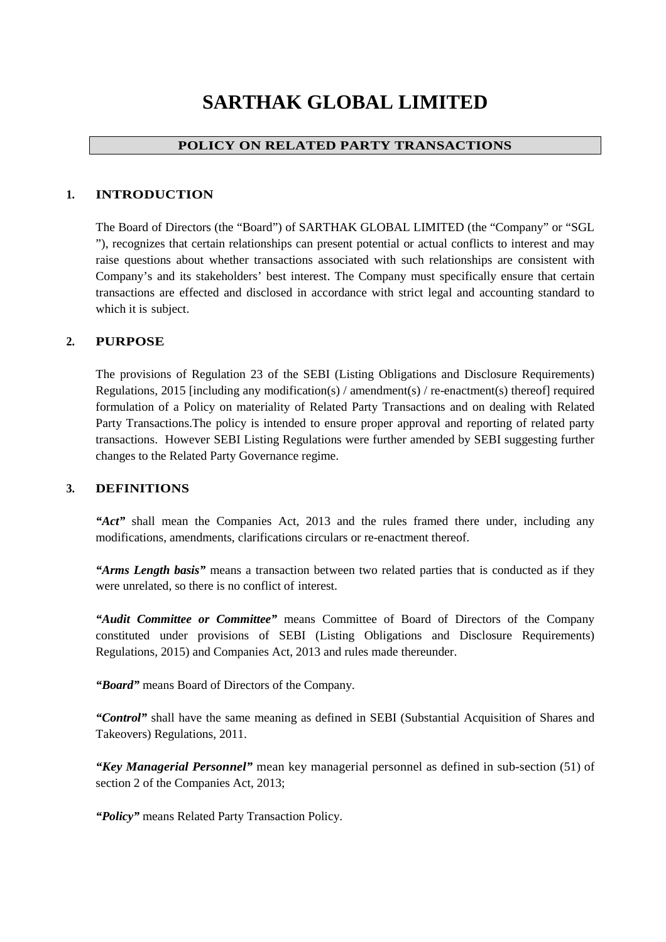# **SARTHAK GLOBAL LIMITED**

# **POLICY ON RELATED PARTY TRANSACTIONS**

## **1. INTRODUCTION**

The Board of Directors (the "Board") of SARTHAK GLOBAL LIMITED (the "Company" or "SGL "), recognizes that certain relationships can present potential or actual conflicts to interest and may raise questions about whether transactions associated with such relationships are consistent with Company's and its stakeholders' best interest. The Company must specifically ensure that certain transactions are effected and disclosed in accordance with strict legal and accounting standard to which it is subject.

## **2. PURPOSE**

The provisions of Regulation 23 of the SEBI (Listing Obligations and Disclosure Requirements) Regulations, 2015 [including any modification(s) / amendment(s) / re-enactment(s) thereof] required formulation of a Policy on materiality of Related Party Transactions and on dealing with Related Party Transactions.The policy is intended to ensure proper approval and reporting of related party transactions. However SEBI Listing Regulations were further amended by SEBI suggesting further changes to the Related Party Governance regime.

### **3. DEFINITIONS**

*"Act"* shall mean the Companies Act, 2013 and the rules framed there under, including any modifications, amendments, clarifications circulars or re-enactment thereof.

*"Arms Length basis"* means a transaction between two related parties that is conducted as if they were unrelated, so there is no conflict of interest.

*"Audit Committee or Committee"* means Committee of Board of Directors of the Company constituted under provisions of SEBI (Listing Obligations and Disclosure Requirements) Regulations, 2015) and Companies Act, 2013 and rules made thereunder.

*"Board"* means Board of Directors of the Company.

*"Control"* shall have the same meaning as defined in SEBI (Substantial Acquisition of Shares and Takeovers) Regulations, 2011.

*"Key Managerial Personnel"* mean key managerial personnel as defined in sub-section (51) of section 2 of the Companies Act, 2013;

*"Policy"* means Related Party Transaction Policy.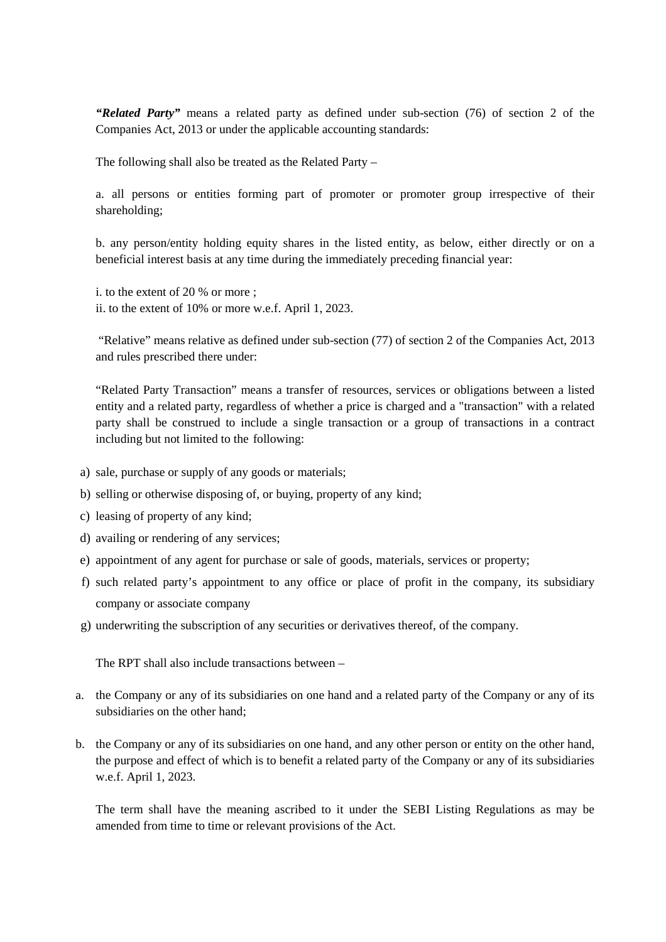*"Related Party"* means a related party as defined under sub-section (76) of section 2 of the Companies Act, 2013 or under the applicable accounting standards:

The following shall also be treated as the Related Party –

a. all persons or entities forming part of promoter or promoter group irrespective of their shareholding;

b. any person/entity holding equity shares in the listed entity, as below, either directly or on a beneficial interest basis at any time during the immediately preceding financial year:

i. to the extent of 20 % or more ; ii. to the extent of 10% or more w.e.f. April 1, 2023.

"Relative" means relative as defined under sub-section (77) of section 2 of the Companies Act, 2013 and rules prescribed there under:

"Related Party Transaction" means a transfer of resources, services or obligations between a listed entity and a related party, regardless of whether a price is charged and a "transaction" with a related party shall be construed to include a single transaction or a group of transactions in a contract including but not limited to the following:

- a) sale, purchase or supply of any goods or materials;
- b) selling or otherwise disposing of, or buying, property of any kind;
- c) leasing of property of any kind;
- d) availing or rendering of any services;
- e) appointment of any agent for purchase or sale of goods, materials, services or property;
- f) such related party's appointment to any office or place of profit in the company, its subsidiary company or associate company
- g) underwriting the subscription of any securities or derivatives thereof, of the company.

The RPT shall also include transactions between –

- a. the Company or any of its subsidiaries on one hand and a related party of the Company or any of its subsidiaries on the other hand;
- b. the Company or any of its subsidiaries on one hand, and any other person or entity on the other hand, the purpose and effect of which is to benefit a related party of the Company or any of its subsidiaries w.e.f. April 1, 2023.

The term shall have the meaning ascribed to it under the SEBI Listing Regulations as may be amended from time to time or relevant provisions of the Act.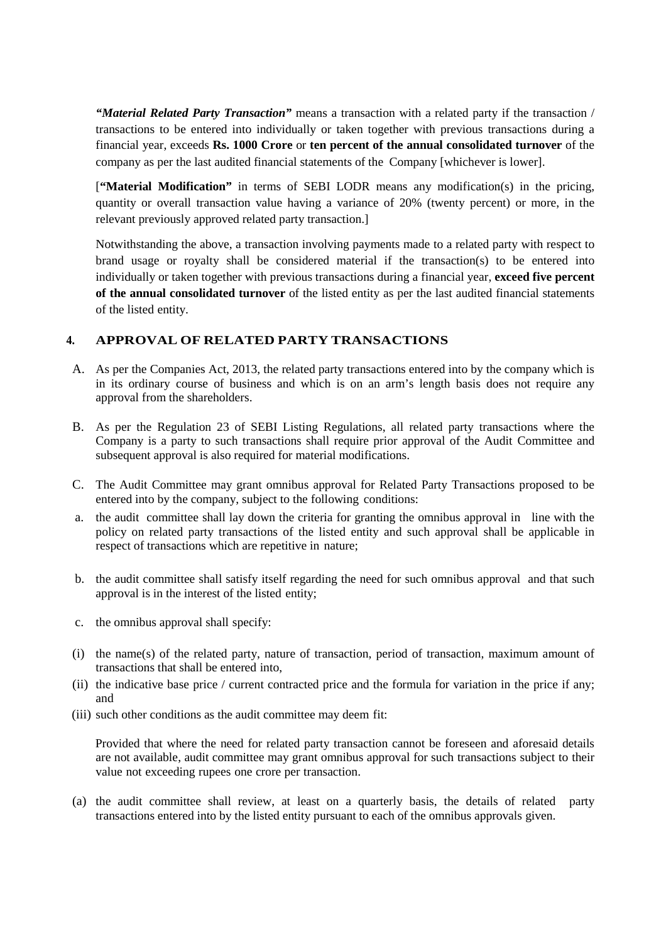*"Material Related Party Transaction"* means a transaction with a related party if the transaction / transactions to be entered into individually or taken together with previous transactions during a financial year, exceeds **Rs. 1000 Crore** or **ten percent of the annual consolidated turnover** of the company as per the last audited financial statements of the Company [whichever is lower].

[**"Material Modification"** in terms of SEBI LODR means any modification(s) in the pricing, quantity or overall transaction value having a variance of 20% (twenty percent) or more, in the relevant previously approved related party transaction.]

Notwithstanding the above, a transaction involving payments made to a related party with respect to brand usage or royalty shall be considered material if the transaction(s) to be entered into individually or taken together with previous transactions during a financial year, **exceed five percent of the annual consolidated turnover** of the listed entity as per the last audited financial statements of the listed entity.

## **4. APPROVAL OF RELATED PARTY TRANSACTIONS**

- A. As per the Companies Act, 2013, the related party transactions entered into by the company which is in its ordinary course of business and which is on an arm's length basis does not require any approval from the shareholders.
- B. As per the Regulation 23 of SEBI Listing Regulations, all related party transactions where the Company is a party to such transactions shall require prior approval of the Audit Committee and subsequent approval is also required for material modifications.
- C. The Audit Committee may grant omnibus approval for Related Party Transactions proposed to be entered into by the company, subject to the following conditions:
- a. the audit committee shall lay down the criteria for granting the omnibus approval in line with the policy on related party transactions of the listed entity and such approval shall be applicable in respect of transactions which are repetitive in nature;
- b. the audit committee shall satisfy itself regarding the need for such omnibus approval and that such approval is in the interest of the listed entity;
- c. the omnibus approval shall specify:
- (i) the name(s) of the related party, nature of transaction, period of transaction, maximum amount of transactions that shall be entered into,
- (ii) the indicative base price / current contracted price and the formula for variation in the price if any; and
- (iii) such other conditions as the audit committee may deem fit:

Provided that where the need for related party transaction cannot be foreseen and aforesaid details are not available, audit committee may grant omnibus approval for such transactions subject to their value not exceeding rupees one crore per transaction.

(a) the audit committee shall review, at least on a quarterly basis, the details of related party transactions entered into by the listed entity pursuant to each of the omnibus approvals given.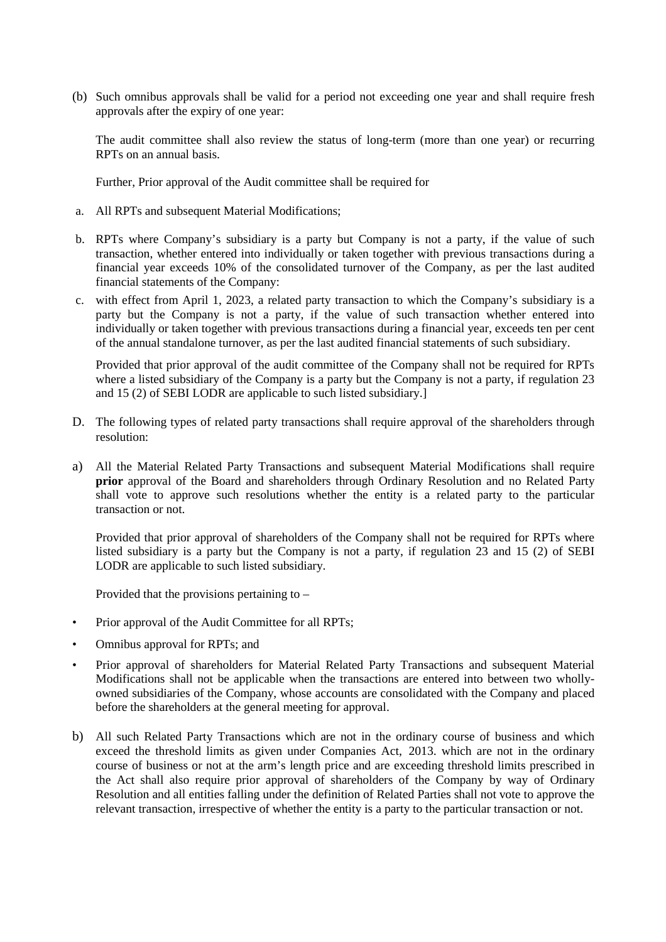(b) Such omnibus approvals shall be valid for a period not exceeding one year and shall require fresh approvals after the expiry of one year:

The audit committee shall also review the status of long-term (more than one year) or recurring RPTs on an annual basis.

Further, Prior approval of the Audit committee shall be required for

- a. All RPTs and subsequent Material Modifications;
- b. RPTs where Company's subsidiary is a party but Company is not a party, if the value of such transaction, whether entered into individually or taken together with previous transactions during a financial year exceeds 10% of the consolidated turnover of the Company, as per the last audited financial statements of the Company:
- c. with effect from April 1, 2023, a related party transaction to which the Company's subsidiary is a party but the Company is not a party, if the value of such transaction whether entered into individually or taken together with previous transactions during a financial year, exceeds ten per cent of the annual standalone turnover, as per the last audited financial statements of such subsidiary.

Provided that prior approval of the audit committee of the Company shall not be required for RPTs where a listed subsidiary of the Company is a party but the Company is not a party, if regulation 23 and 15 (2) of SEBI LODR are applicable to such listed subsidiary.]

- D. The following types of related party transactions shall require approval of the shareholders through resolution:
- a) All the Material Related Party Transactions and subsequent Material Modifications shall require **prior** approval of the Board and shareholders through Ordinary Resolution and no Related Party shall vote to approve such resolutions whether the entity is a related party to the particular transaction or not.

Provided that prior approval of shareholders of the Company shall not be required for RPTs where listed subsidiary is a party but the Company is not a party, if regulation 23 and 15 (2) of SEBI LODR are applicable to such listed subsidiary.

Provided that the provisions pertaining to –

- Prior approval of the Audit Committee for all RPTs;
- Omnibus approval for RPTs; and
- Prior approval of shareholders for Material Related Party Transactions and subsequent Material Modifications shall not be applicable when the transactions are entered into between two whollyowned subsidiaries of the Company, whose accounts are consolidated with the Company and placed before the shareholders at the general meeting for approval.
- b) All such Related Party Transactions which are not in the ordinary course of business and which exceed the threshold limits as given under Companies Act, 2013. which are not in the ordinary course of business or not at the arm's length price and are exceeding threshold limits prescribed in the Act shall also require prior approval of shareholders of the Company by way of Ordinary Resolution and all entities falling under the definition of Related Parties shall not vote to approve the relevant transaction, irrespective of whether the entity is a party to the particular transaction or not.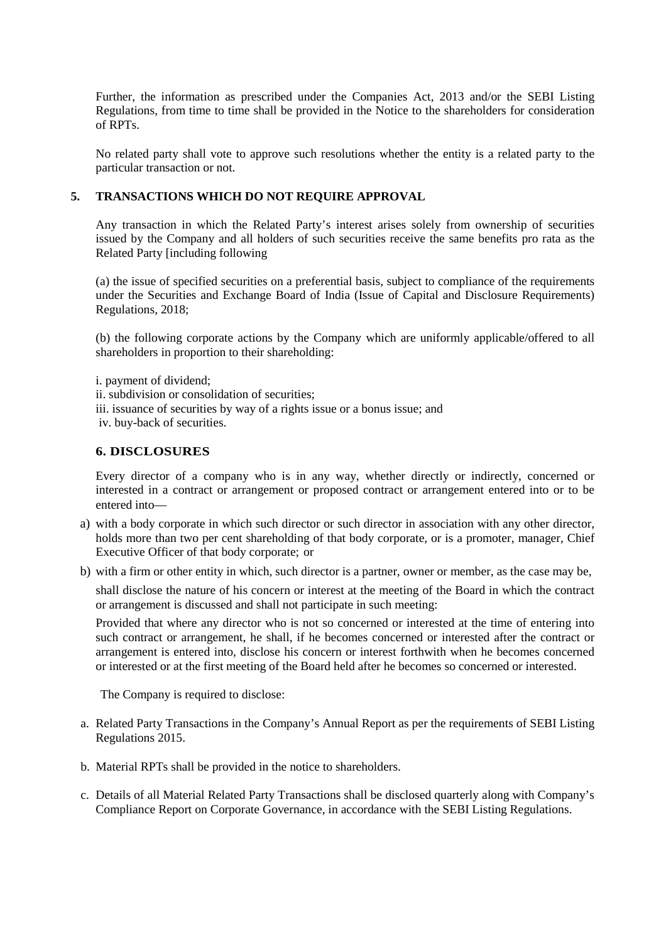Further, the information as prescribed under the Companies Act, 2013 and/or the SEBI Listing Regulations, from time to time shall be provided in the Notice to the shareholders for consideration of RPTs.

No related party shall vote to approve such resolutions whether the entity is a related party to the particular transaction or not.

#### **5. TRANSACTIONS WHICH DO NOT REQUIRE APPROVAL**

Any transaction in which the Related Party's interest arises solely from ownership of securities issued by the Company and all holders of such securities receive the same benefits pro rata as the Related Party [including following

(a) the issue of specified securities on a preferential basis, subject to compliance of the requirements under the Securities and Exchange Board of India (Issue of Capital and Disclosure Requirements) Regulations, 2018;

(b) the following corporate actions by the Company which are uniformly applicable/offered to all shareholders in proportion to their shareholding:

i. payment of dividend;

ii. subdivision or consolidation of securities;

- iii. issuance of securities by way of a rights issue or a bonus issue; and
- iv. buy-back of securities.

#### **6. DISCLOSURES**

Every director of a company who is in any way, whether directly or indirectly, concerned or interested in a contract or arrangement or proposed contract or arrangement entered into or to be entered into—

- a) with a body corporate in which such director or such director in association with any other director, holds more than two per cent shareholding of that body corporate, or is a promoter, manager, Chief Executive Officer of that body corporate; or
- b) with a firm or other entity in which, such director is a partner, owner or member, as the case may be,

shall disclose the nature of his concern or interest at the meeting of the Board in which the contract or arrangement is discussed and shall not participate in such meeting:

Provided that where any director who is not so concerned or interested at the time of entering into such contract or arrangement, he shall, if he becomes concerned or interested after the contract or arrangement is entered into, disclose his concern or interest forthwith when he becomes concerned or interested or at the first meeting of the Board held after he becomes so concerned or interested.

The Company is required to disclose:

- a. Related Party Transactions in the Company's Annual Report as per the requirements of SEBI Listing Regulations 2015.
- b. Material RPTs shall be provided in the notice to shareholders.
- c. Details of all Material Related Party Transactions shall be disclosed quarterly along with Company's Compliance Report on Corporate Governance, in accordance with the SEBI Listing Regulations.